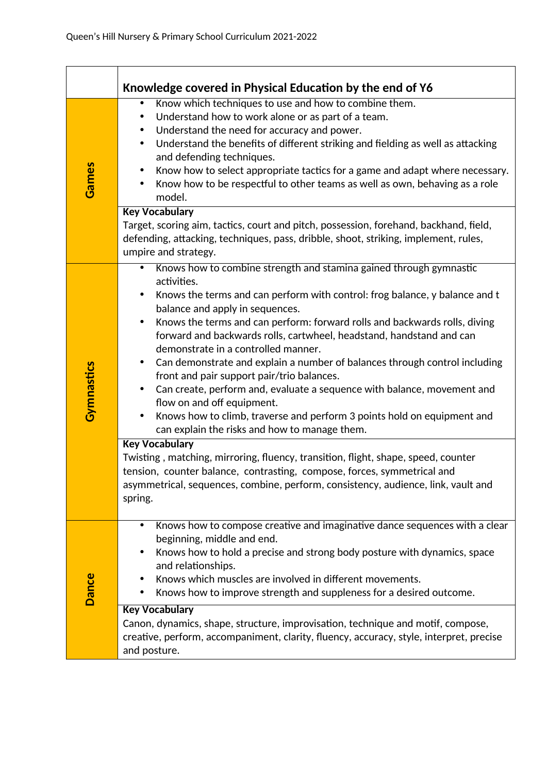|              | Knowledge covered in Physical Education by the end of Y6                                                                                                                                                                                                                                                                                                                                                                                                                                                                                                                                                                                                                                                                                                                                                                                                                                                                                                                                                                                                                                                                                 |
|--------------|------------------------------------------------------------------------------------------------------------------------------------------------------------------------------------------------------------------------------------------------------------------------------------------------------------------------------------------------------------------------------------------------------------------------------------------------------------------------------------------------------------------------------------------------------------------------------------------------------------------------------------------------------------------------------------------------------------------------------------------------------------------------------------------------------------------------------------------------------------------------------------------------------------------------------------------------------------------------------------------------------------------------------------------------------------------------------------------------------------------------------------------|
| Games        | Know which techniques to use and how to combine them.<br>$\bullet$<br>Understand how to work alone or as part of a team.<br>$\bullet$<br>Understand the need for accuracy and power.<br>$\bullet$<br>Understand the benefits of different striking and fielding as well as attacking<br>$\bullet$<br>and defending techniques.<br>Know how to select appropriate tactics for a game and adapt where necessary.<br>$\bullet$<br>Know how to be respectful to other teams as well as own, behaving as a role<br>$\bullet$<br>model.                                                                                                                                                                                                                                                                                                                                                                                                                                                                                                                                                                                                        |
|              | <b>Key Vocabulary</b><br>Target, scoring aim, tactics, court and pitch, possession, forehand, backhand, field,<br>defending, attacking, techniques, pass, dribble, shoot, striking, implement, rules,<br>umpire and strategy.                                                                                                                                                                                                                                                                                                                                                                                                                                                                                                                                                                                                                                                                                                                                                                                                                                                                                                            |
| Gymnastics   | Knows how to combine strength and stamina gained through gymnastic<br>$\bullet$<br>activities.<br>Knows the terms and can perform with control: frog balance, y balance and t<br>$\bullet$<br>balance and apply in sequences.<br>Knows the terms and can perform: forward rolls and backwards rolls, diving<br>$\bullet$<br>forward and backwards rolls, cartwheel, headstand, handstand and can<br>demonstrate in a controlled manner.<br>Can demonstrate and explain a number of balances through control including<br>$\bullet$<br>front and pair support pair/trio balances.<br>Can create, perform and, evaluate a sequence with balance, movement and<br>$\bullet$<br>flow on and off equipment.<br>Knows how to climb, traverse and perform 3 points hold on equipment and<br>$\bullet$<br>can explain the risks and how to manage them.<br><b>Key Vocabulary</b><br>Twisting, matching, mirroring, fluency, transition, flight, shape, speed, counter<br>tension, counter balance, contrasting, compose, forces, symmetrical and<br>asymmetrical, sequences, combine, perform, consistency, audience, link, vault and<br>spring. |
| <b>Dance</b> | Knows how to compose creative and imaginative dance sequences with a clear<br>٠<br>beginning, middle and end.<br>Knows how to hold a precise and strong body posture with dynamics, space<br>٠<br>and relationships.<br>Knows which muscles are involved in different movements.<br>Knows how to improve strength and suppleness for a desired outcome.<br>$\bullet$<br><b>Key Vocabulary</b>                                                                                                                                                                                                                                                                                                                                                                                                                                                                                                                                                                                                                                                                                                                                            |
|              | Canon, dynamics, shape, structure, improvisation, technique and motif, compose,<br>creative, perform, accompaniment, clarity, fluency, accuracy, style, interpret, precise<br>and posture.                                                                                                                                                                                                                                                                                                                                                                                                                                                                                                                                                                                                                                                                                                                                                                                                                                                                                                                                               |